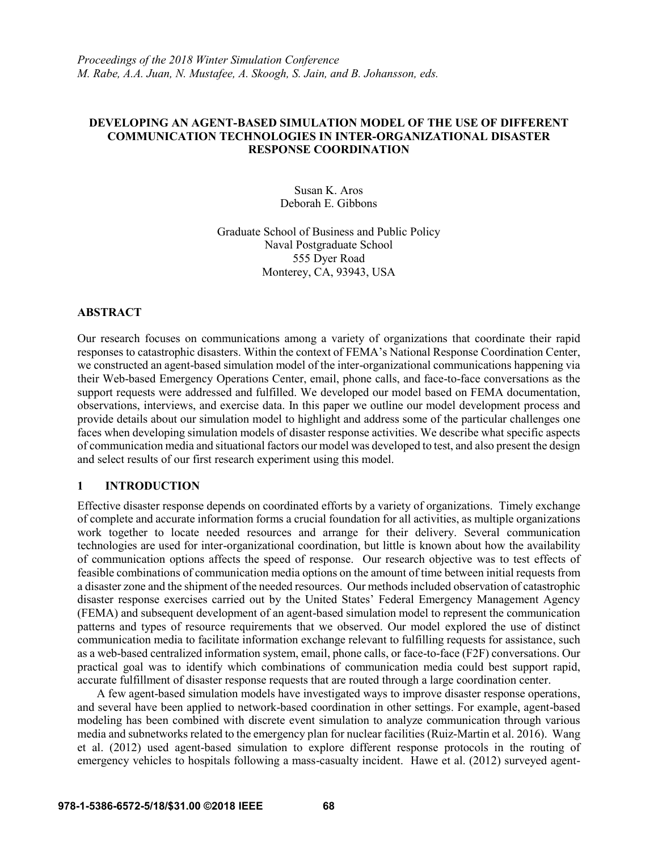*Proceedings of the 2018 Winter Simulation Conference M. Rabe, A.A. Juan, N. Mustafee, A. Skoogh, S. Jain, and B. Johansson, eds.*

### **DEVELOPING AN AGENT-BASED SIMULATION MODEL OF THE USE OF DIFFERENT COMMUNICATION TECHNOLOGIES IN INTER-ORGANIZATIONAL DISASTER RESPONSE COORDINATION**

Susan K. Aros Deborah E. Gibbons

Graduate School of Business and Public Policy Naval Postgraduate School 555 Dyer Road Monterey, CA, 93943, USA

#### **ABSTRACT**

Our research focuses on communications among a variety of organizations that coordinate their rapid responses to catastrophic disasters. Within the context of FEMA's National Response Coordination Center, we constructed an agent-based simulation model of the inter-organizational communications happening via their Web-based Emergency Operations Center, email, phone calls, and face-to-face conversations as the support requests were addressed and fulfilled. We developed our model based on FEMA documentation, observations, interviews, and exercise data. In this paper we outline our model development process and provide details about our simulation model to highlight and address some of the particular challenges one faces when developing simulation models of disaster response activities. We describe what specific aspects of communication media and situational factors our model was developed to test, and also present the design and select results of our first research experiment using this model.

## **1 INTRODUCTION**

Effective disaster response depends on coordinated efforts by a variety of organizations. Timely exchange of complete and accurate information forms a crucial foundation for all activities, as multiple organizations work together to locate needed resources and arrange for their delivery. Several communication technologies are used for inter-organizational coordination, but little is known about how the availability of communication options affects the speed of response. Our research objective was to test effects of feasible combinations of communication media options on the amount of time between initial requests from a disaster zone and the shipment of the needed resources. Our methods included observation of catastrophic disaster response exercises carried out by the United States' Federal Emergency Management Agency (FEMA) and subsequent development of an agent-based simulation model to represent the communication patterns and types of resource requirements that we observed. Our model explored the use of distinct communication media to facilitate information exchange relevant to fulfilling requests for assistance, such as a web-based centralized information system, email, phone calls, or face-to-face (F2F) conversations. Our practical goal was to identify which combinations of communication media could best support rapid, accurate fulfillment of disaster response requests that are routed through a large coordination center.

A few agent-based simulation models have investigated ways to improve disaster response operations, and several have been applied to network-based coordination in other settings. For example, agent-based modeling has been combined with discrete event simulation to analyze communication through various media and subnetworks related to the emergency plan for nuclear facilities (Ruiz-Martin et al. 2016). Wang et al. (2012) used agent-based simulation to explore different response protocols in the routing of emergency vehicles to hospitals following a mass-casualty incident. Hawe et al. (2012) surveyed agent-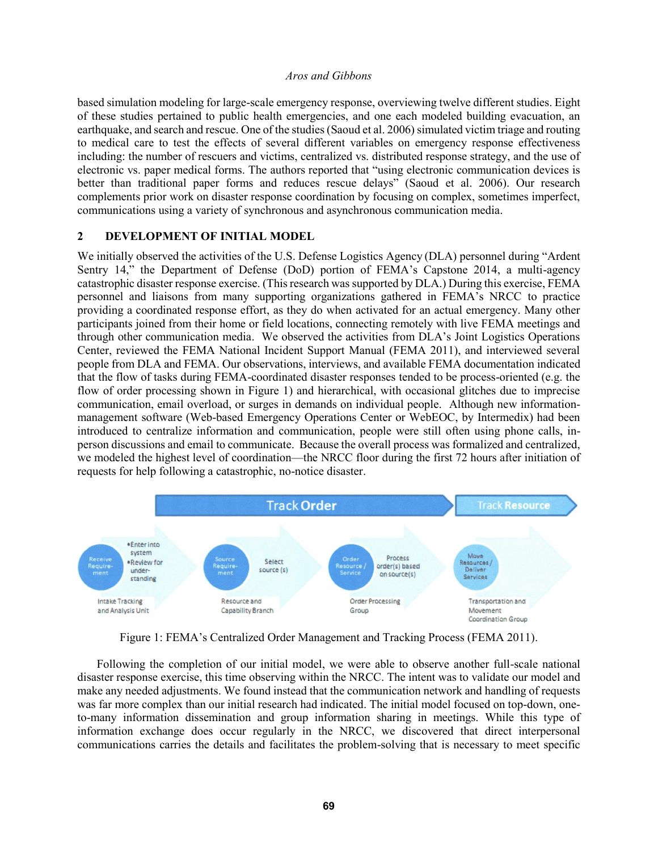based simulation modeling for large-scale emergency response, overviewing twelve different studies. Eight of these studies pertained to public health emergencies, and one each modeled building evacuation, an earthquake, and search and rescue. One of the studies (Saoud et al. 2006) simulated victim triage and routing to medical care to test the effects of several different variables on emergency response effectiveness including: the number of rescuers and victims, centralized vs. distributed response strategy, and the use of electronic vs. paper medical forms. The authors reported that "using electronic communication devices is better than traditional paper forms and reduces rescue delays" (Saoud et al. 2006). Our research complements prior work on disaster response coordination by focusing on complex, sometimes imperfect, communications using a variety of synchronous and asynchronous communication media.

### **2 DEVELOPMENT OF INITIAL MODEL**

We initially observed the activities of the U.S. Defense Logistics Agency (DLA) personnel during "Ardent" Sentry 14," the Department of Defense (DoD) portion of FEMA's Capstone 2014, a multi-agency catastrophic disaster response exercise. (This research was supported by DLA.) During this exercise, FEMA personnel and liaisons from many supporting organizations gathered in FEMA's NRCC to practice providing a coordinated response effort, as they do when activated for an actual emergency. Many other participants joined from their home or field locations, connecting remotely with live FEMA meetings and through other communication media. We observed the activities from DLA's Joint Logistics Operations Center, reviewed the FEMA National Incident Support Manual (FEMA 2011), and interviewed several people from DLA and FEMA. Our observations, interviews, and available FEMA documentation indicated that the flow of tasks during FEMA-coordinated disaster responses tended to be process-oriented (e.g. the flow of order processing shown in Figure 1) and hierarchical, with occasional glitches due to imprecise communication, email overload, or surges in demands on individual people. Although new informationmanagement software (Web-based Emergency Operations Center or WebEOC, by Intermedix) had been introduced to centralize information and communication, people were still often using phone calls, inperson discussions and email to communicate. Because the overall process was formalized and centralized, we modeled the highest level of coordination—the NRCC floor during the first 72 hours after initiation of requests for help following a catastrophic, no-notice disaster.



Figure 1: FEMA's Centralized Order Management and Tracking Process (FEMA 2011).

Following the completion of our initial model, we were able to observe another full-scale national disaster response exercise, this time observing within the NRCC. The intent was to validate our model and make any needed adjustments. We found instead that the communication network and handling of requests was far more complex than our initial research had indicated. The initial model focused on top-down, oneto-many information dissemination and group information sharing in meetings. While this type of information exchange does occur regularly in the NRCC, we discovered that direct interpersonal communications carries the details and facilitates the problem-solving that is necessary to meet specific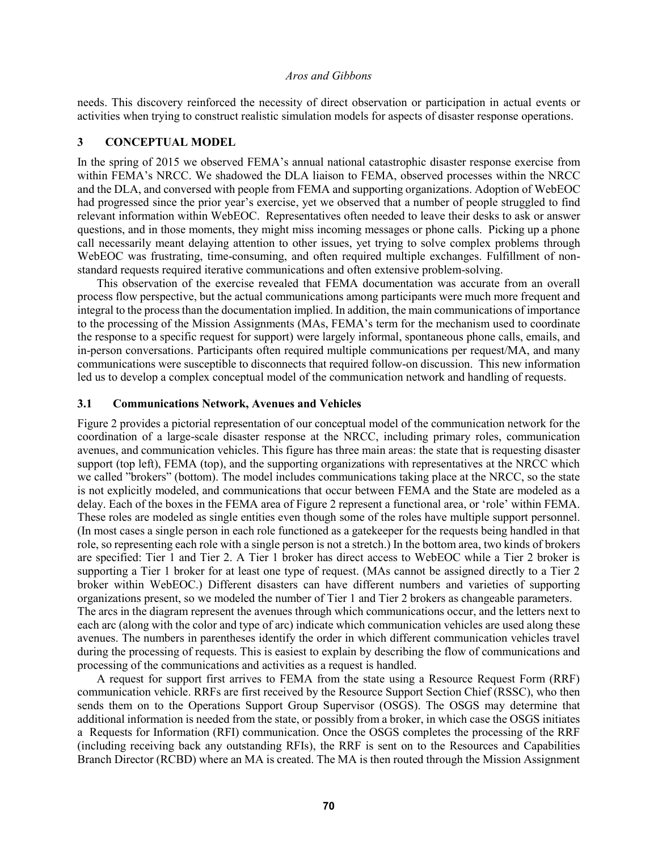needs. This discovery reinforced the necessity of direct observation or participation in actual events or activities when trying to construct realistic simulation models for aspects of disaster response operations.

### **3 CONCEPTUAL MODEL**

In the spring of 2015 we observed FEMA's annual national catastrophic disaster response exercise from within FEMA's NRCC. We shadowed the DLA liaison to FEMA, observed processes within the NRCC and the DLA, and conversed with people from FEMA and supporting organizations. Adoption of WebEOC had progressed since the prior year's exercise, yet we observed that a number of people struggled to find relevant information within WebEOC. Representatives often needed to leave their desks to ask or answer questions, and in those moments, they might miss incoming messages or phone calls. Picking up a phone call necessarily meant delaying attention to other issues, yet trying to solve complex problems through WebEOC was frustrating, time-consuming, and often required multiple exchanges. Fulfillment of nonstandard requests required iterative communications and often extensive problem-solving.

This observation of the exercise revealed that FEMA documentation was accurate from an overall process flow perspective, but the actual communications among participants were much more frequent and integral to the process than the documentation implied. In addition, the main communications of importance to the processing of the Mission Assignments (MAs, FEMA's term for the mechanism used to coordinate the response to a specific request for support) were largely informal, spontaneous phone calls, emails, and in-person conversations. Participants often required multiple communications per request/MA, and many communications were susceptible to disconnects that required follow-on discussion. This new information led us to develop a complex conceptual model of the communication network and handling of requests.

### **3.1 Communications Network, Avenues and Vehicles**

Figure 2 provides a pictorial representation of our conceptual model of the communication network for the coordination of a large-scale disaster response at the NRCC, including primary roles, communication avenues, and communication vehicles. This figure has three main areas: the state that is requesting disaster support (top left), FEMA (top), and the supporting organizations with representatives at the NRCC which we called "brokers" (bottom). The model includes communications taking place at the NRCC, so the state is not explicitly modeled, and communications that occur between FEMA and the State are modeled as a delay. Each of the boxes in the FEMA area of Figure 2 represent a functional area, or 'role' within FEMA. These roles are modeled as single entities even though some of the roles have multiple support personnel. (In most cases a single person in each role functioned as a gatekeeper for the requests being handled in that role, so representing each role with a single person is not a stretch.) In the bottom area, two kinds of brokers are specified: Tier 1 and Tier 2. A Tier 1 broker has direct access to WebEOC while a Tier 2 broker is supporting a Tier 1 broker for at least one type of request. (MAs cannot be assigned directly to a Tier 2 broker within WebEOC.) Different disasters can have different numbers and varieties of supporting organizations present, so we modeled the number of Tier 1 and Tier 2 brokers as changeable parameters. The arcs in the diagram represent the avenues through which communications occur, and the letters next to each arc (along with the color and type of arc) indicate which communication vehicles are used along these avenues. The numbers in parentheses identify the order in which different communication vehicles travel during the processing of requests. This is easiest to explain by describing the flow of communications and processing of the communications and activities as a request is handled.

A request for support first arrives to FEMA from the state using a Resource Request Form (RRF) communication vehicle. RRFs are first received by the Resource Support Section Chief (RSSC), who then sends them on to the Operations Support Group Supervisor (OSGS). The OSGS may determine that additional information is needed from the state, or possibly from a broker, in which case the OSGS initiates a Requests for Information (RFI) communication. Once the OSGS completes the processing of the RRF (including receiving back any outstanding RFIs), the RRF is sent on to the Resources and Capabilities Branch Director (RCBD) where an MA is created. The MA is then routed through the Mission Assignment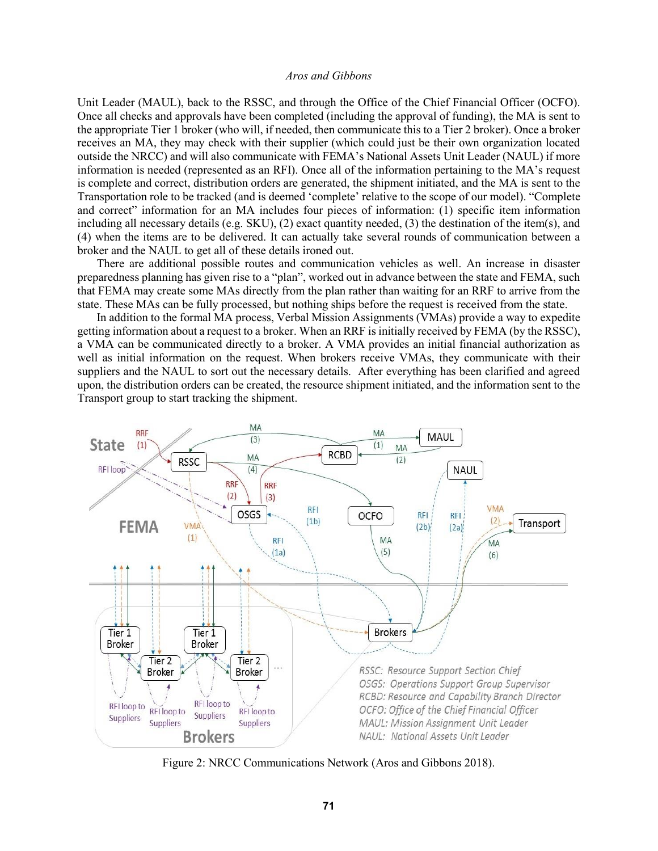Unit Leader (MAUL), back to the RSSC, and through the Office of the Chief Financial Officer (OCFO). Once all checks and approvals have been completed (including the approval of funding), the MA is sent to the appropriate Tier 1 broker (who will, if needed, then communicate this to a Tier 2 broker). Once a broker receives an MA, they may check with their supplier (which could just be their own organization located outside the NRCC) and will also communicate with FEMA's National Assets Unit Leader (NAUL) if more information is needed (represented as an RFI). Once all of the information pertaining to the MA's request is complete and correct, distribution orders are generated, the shipment initiated, and the MA is sent to the Transportation role to be tracked (and is deemed 'complete' relative to the scope of our model). "Complete and correct" information for an MA includes four pieces of information: (1) specific item information including all necessary details (e.g. SKU), (2) exact quantity needed, (3) the destination of the item(s), and (4) when the items are to be delivered. It can actually take several rounds of communication between a broker and the NAUL to get all of these details ironed out.

There are additional possible routes and communication vehicles as well. An increase in disaster preparedness planning has given rise to a "plan", worked out in advance between the state and FEMA, such that FEMA may create some MAs directly from the plan rather than waiting for an RRF to arrive from the state. These MAs can be fully processed, but nothing ships before the request is received from the state.

In addition to the formal MA process, Verbal Mission Assignments (VMAs) provide a way to expedite getting information about a request to a broker. When an RRF is initially received by FEMA (by the RSSC), a VMA can be communicated directly to a broker. A VMA provides an initial financial authorization as well as initial information on the request. When brokers receive VMAs, they communicate with their suppliers and the NAUL to sort out the necessary details. After everything has been clarified and agreed upon, the distribution orders can be created, the resource shipment initiated, and the information sent to the Transport group to start tracking the shipment.



Figure 2: NRCC Communications Network (Aros and Gibbons 2018).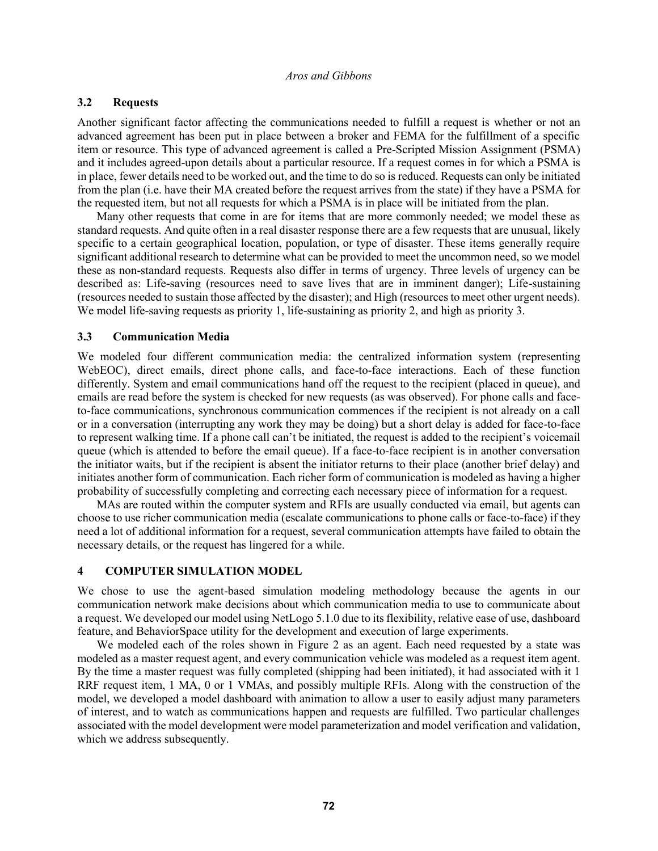## **3.2 Requests**

Another significant factor affecting the communications needed to fulfill a request is whether or not an advanced agreement has been put in place between a broker and FEMA for the fulfillment of a specific item or resource. This type of advanced agreement is called a Pre-Scripted Mission Assignment (PSMA) and it includes agreed-upon details about a particular resource. If a request comes in for which a PSMA is in place, fewer details need to be worked out, and the time to do so is reduced. Requests can only be initiated from the plan (i.e. have their MA created before the request arrives from the state) if they have a PSMA for the requested item, but not all requests for which a PSMA is in place will be initiated from the plan.

Many other requests that come in are for items that are more commonly needed; we model these as standard requests. And quite often in a real disaster response there are a few requests that are unusual, likely specific to a certain geographical location, population, or type of disaster. These items generally require significant additional research to determine what can be provided to meet the uncommon need, so we model these as non-standard requests. Requests also differ in terms of urgency. Three levels of urgency can be described as: Life-saving (resources need to save lives that are in imminent danger); Life-sustaining (resources needed to sustain those affected by the disaster); and High (resources to meet other urgent needs). We model life-saving requests as priority 1, life-sustaining as priority 2, and high as priority 3.

### **3.3 Communication Media**

We modeled four different communication media: the centralized information system (representing WebEOC), direct emails, direct phone calls, and face-to-face interactions. Each of these function differently. System and email communications hand off the request to the recipient (placed in queue), and emails are read before the system is checked for new requests (as was observed). For phone calls and faceto-face communications, synchronous communication commences if the recipient is not already on a call or in a conversation (interrupting any work they may be doing) but a short delay is added for face-to-face to represent walking time. If a phone call can't be initiated, the request is added to the recipient's voicemail queue (which is attended to before the email queue). If a face-to-face recipient is in another conversation the initiator waits, but if the recipient is absent the initiator returns to their place (another brief delay) and initiates another form of communication. Each richer form of communication is modeled as having a higher probability of successfully completing and correcting each necessary piece of information for a request.

MAs are routed within the computer system and RFIs are usually conducted via email, but agents can choose to use richer communication media (escalate communications to phone calls or face-to-face) if they need a lot of additional information for a request, several communication attempts have failed to obtain the necessary details, or the request has lingered for a while.

### **4 COMPUTER SIMULATION MODEL**

We chose to use the agent-based simulation modeling methodology because the agents in our communication network make decisions about which communication media to use to communicate about a request. We developed our model using NetLogo 5.1.0 due to its flexibility, relative ease of use, dashboard feature, and BehaviorSpace utility for the development and execution of large experiments.

We modeled each of the roles shown in Figure 2 as an agent. Each need requested by a state was modeled as a master request agent, and every communication vehicle was modeled as a request item agent. By the time a master request was fully completed (shipping had been initiated), it had associated with it 1 RRF request item, 1 MA, 0 or 1 VMAs, and possibly multiple RFIs. Along with the construction of the model, we developed a model dashboard with animation to allow a user to easily adjust many parameters of interest, and to watch as communications happen and requests are fulfilled. Two particular challenges associated with the model development were model parameterization and model verification and validation, which we address subsequently.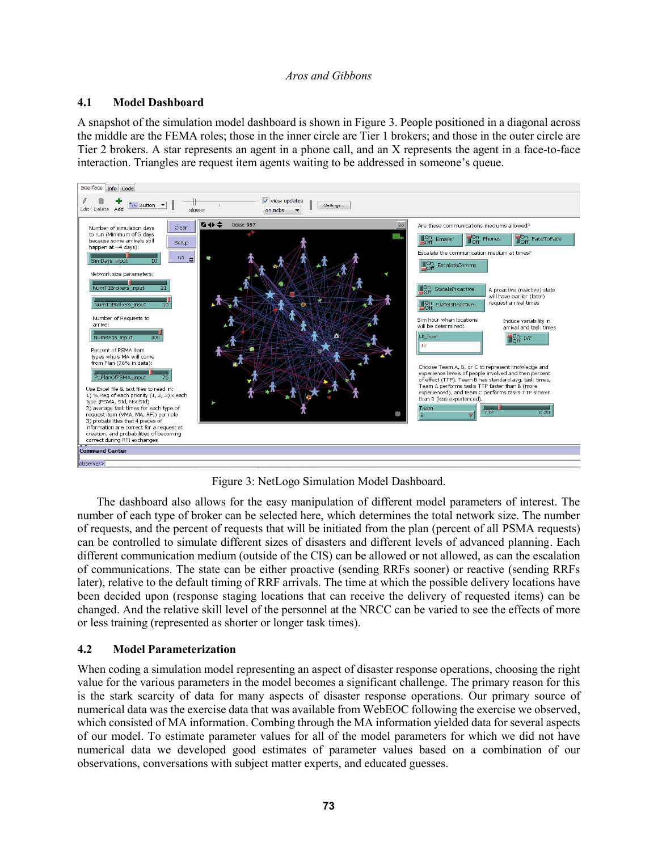## **4.1 Model Dashboard**

A snapshot of the simulation model dashboard is shown in Figure 3. People positioned in a diagonal across the middle are the FEMA roles; those in the inner circle are Tier 1 brokers; and those in the outer circle are Tier 2 brokers. A star represents an agent in a phone call, and an X represents the agent in a face-to-face interaction. Triangles are request item agents waiting to be addressed in someone's queue.



Figure 3: NetLogo Simulation Model Dashboard.

The dashboard also allows for the easy manipulation of different model parameters of interest. The number of each type of broker can be selected here, which determines the total network size. The number of requests, and the percent of requests that will be initiated from the plan (percent of all PSMA requests) can be controlled to simulate different sizes of disasters and different levels of advanced planning. Each different communication medium (outside of the CIS) can be allowed or not allowed, as can the escalation of communications. The state can be either proactive (sending RRFs sooner) or reactive (sending RRFs later), relative to the default timing of RRF arrivals. The time at which the possible delivery locations have been decided upon (response staging locations that can receive the delivery of requested items) can be changed. And the relative skill level of the personnel at the NRCC can be varied to see the effects of more or less training (represented as shorter or longer task times).

## **4.2 Model Parameterization**

When coding a simulation model representing an aspect of disaster response operations, choosing the right value for the various parameters in the model becomes a significant challenge. The primary reason for this is the stark scarcity of data for many aspects of disaster response operations. Our primary source of numerical data was the exercise data that was available from WebEOC following the exercise we observed, which consisted of MA information. Combing through the MA information yielded data for several aspects of our model. To estimate parameter values for all of the model parameters for which we did not have numerical data we developed good estimates of parameter values based on a combination of our observations, conversations with subject matter experts, and educated guesses.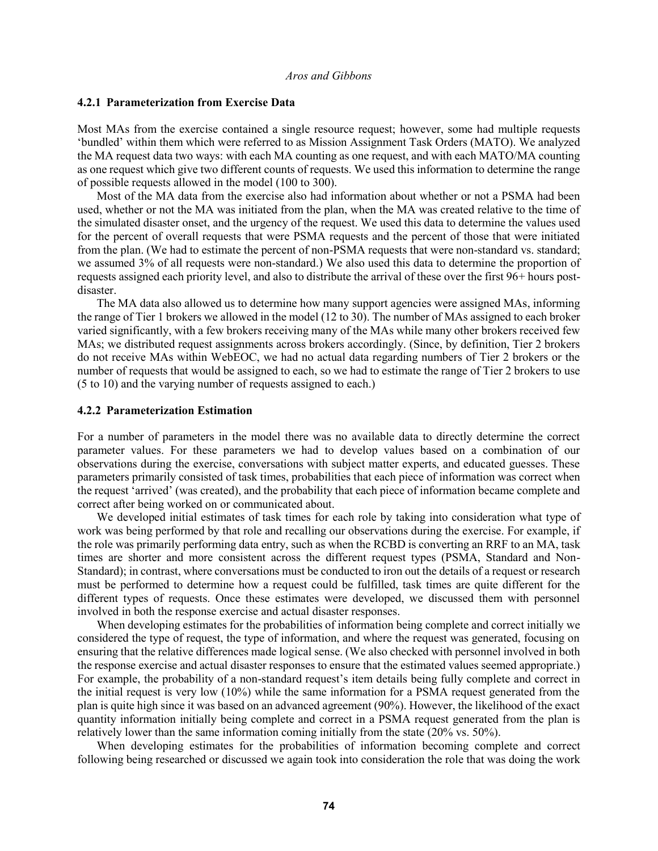#### **4.2.1 Parameterization from Exercise Data**

Most MAs from the exercise contained a single resource request; however, some had multiple requests 'bundled' within them which were referred to as Mission Assignment Task Orders (MATO). We analyzed the MA request data two ways: with each MA counting as one request, and with each MATO/MA counting as one request which give two different counts of requests. We used this information to determine the range of possible requests allowed in the model (100 to 300).

Most of the MA data from the exercise also had information about whether or not a PSMA had been used, whether or not the MA was initiated from the plan, when the MA was created relative to the time of the simulated disaster onset, and the urgency of the request. We used this data to determine the values used for the percent of overall requests that were PSMA requests and the percent of those that were initiated from the plan. (We had to estimate the percent of non-PSMA requests that were non-standard vs. standard: we assumed 3% of all requests were non-standard.) We also used this data to determine the proportion of requests assigned each priority level, and also to distribute the arrival of these over the first 96+ hours postdisaster.

The MA data also allowed us to determine how many support agencies were assigned MAs, informing the range of Tier 1 brokers we allowed in the model (12 to 30). The number of MAs assigned to each broker varied significantly, with a few brokers receiving many of the MAs while many other brokers received few MAs; we distributed request assignments across brokers accordingly. (Since, by definition, Tier 2 brokers do not receive MAs within WebEOC, we had no actual data regarding numbers of Tier 2 brokers or the number of requests that would be assigned to each, so we had to estimate the range of Tier 2 brokers to use (5 to 10) and the varying number of requests assigned to each.)

### **4.2.2 Parameterization Estimation**

For a number of parameters in the model there was no available data to directly determine the correct parameter values. For these parameters we had to develop values based on a combination of our observations during the exercise, conversations with subject matter experts, and educated guesses. These parameters primarily consisted of task times, probabilities that each piece of information was correct when the request 'arrived' (was created), and the probability that each piece of information became complete and correct after being worked on or communicated about.

We developed initial estimates of task times for each role by taking into consideration what type of work was being performed by that role and recalling our observations during the exercise. For example, if the role was primarily performing data entry, such as when the RCBD is converting an RRF to an MA, task times are shorter and more consistent across the different request types (PSMA, Standard and Non-Standard); in contrast, where conversations must be conducted to iron out the details of a request or research must be performed to determine how a request could be fulfilled, task times are quite different for the different types of requests. Once these estimates were developed, we discussed them with personnel involved in both the response exercise and actual disaster responses.

When developing estimates for the probabilities of information being complete and correct initially we considered the type of request, the type of information, and where the request was generated, focusing on ensuring that the relative differences made logical sense. (We also checked with personnel involved in both the response exercise and actual disaster responses to ensure that the estimated values seemed appropriate.) For example, the probability of a non-standard request's item details being fully complete and correct in the initial request is very low (10%) while the same information for a PSMA request generated from the plan is quite high since it was based on an advanced agreement (90%). However, the likelihood of the exact quantity information initially being complete and correct in a PSMA request generated from the plan is relatively lower than the same information coming initially from the state (20% vs. 50%).

When developing estimates for the probabilities of information becoming complete and correct following being researched or discussed we again took into consideration the role that was doing the work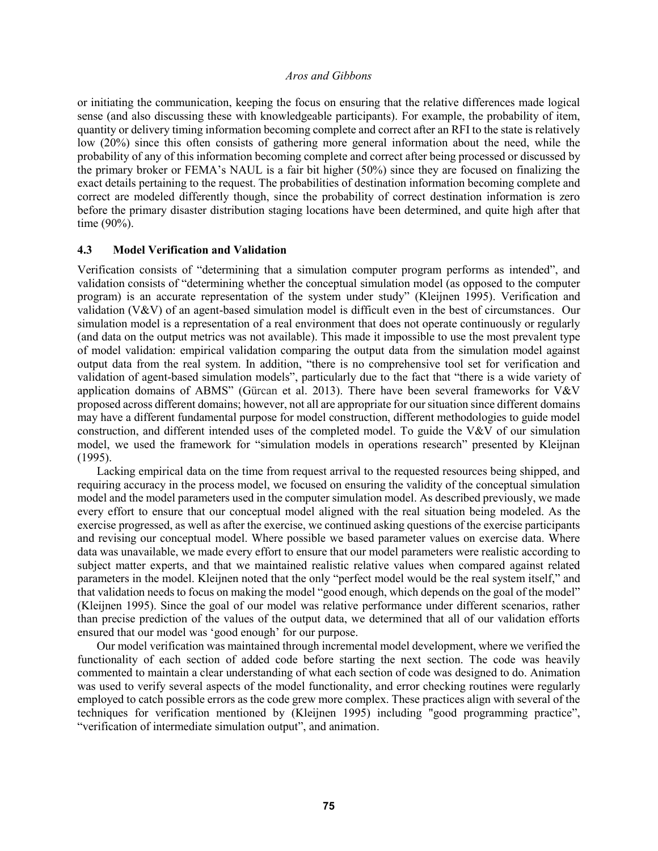or initiating the communication, keeping the focus on ensuring that the relative differences made logical sense (and also discussing these with knowledgeable participants). For example, the probability of item, quantity or delivery timing information becoming complete and correct after an RFI to the state is relatively low (20%) since this often consists of gathering more general information about the need, while the probability of any of this information becoming complete and correct after being processed or discussed by the primary broker or FEMA's NAUL is a fair bit higher (50%) since they are focused on finalizing the exact details pertaining to the request. The probabilities of destination information becoming complete and correct are modeled differently though, since the probability of correct destination information is zero before the primary disaster distribution staging locations have been determined, and quite high after that time (90%).

### **4.3 Model Verification and Validation**

Verification consists of "determining that a simulation computer program performs as intended", and validation consists of "determining whether the conceptual simulation model (as opposed to the computer program) is an accurate representation of the system under study" (Kleijnen 1995). Verification and validation (V&V) of an agent-based simulation model is difficult even in the best of circumstances. Our simulation model is a representation of a real environment that does not operate continuously or regularly (and data on the output metrics was not available). This made it impossible to use the most prevalent type of model validation: empirical validation comparing the output data from the simulation model against output data from the real system. In addition, "there is no comprehensive tool set for verification and validation of agent-based simulation models", particularly due to the fact that "there is a wide variety of application domains of ABMS" (Gürcan et al. 2013). There have been several frameworks for V&V proposed across different domains; however, not all are appropriate for our situation since different domains may have a different fundamental purpose for model construction, different methodologies to guide model construction, and different intended uses of the completed model. To guide the V&V of our simulation model, we used the framework for "simulation models in operations research" presented by Kleijnan (1995).

Lacking empirical data on the time from request arrival to the requested resources being shipped, and requiring accuracy in the process model, we focused on ensuring the validity of the conceptual simulation model and the model parameters used in the computer simulation model. As described previously, we made every effort to ensure that our conceptual model aligned with the real situation being modeled. As the exercise progressed, as well as after the exercise, we continued asking questions of the exercise participants and revising our conceptual model. Where possible we based parameter values on exercise data. Where data was unavailable, we made every effort to ensure that our model parameters were realistic according to subject matter experts, and that we maintained realistic relative values when compared against related parameters in the model. Kleijnen noted that the only "perfect model would be the real system itself," and that validation needs to focus on making the model "good enough, which depends on the goal of the model" (Kleijnen 1995). Since the goal of our model was relative performance under different scenarios, rather than precise prediction of the values of the output data, we determined that all of our validation efforts ensured that our model was 'good enough' for our purpose.

Our model verification was maintained through incremental model development, where we verified the functionality of each section of added code before starting the next section. The code was heavily commented to maintain a clear understanding of what each section of code was designed to do. Animation was used to verify several aspects of the model functionality, and error checking routines were regularly employed to catch possible errors as the code grew more complex. These practices align with several of the techniques for verification mentioned by (Kleijnen 1995) including "good programming practice", "verification of intermediate simulation output", and animation.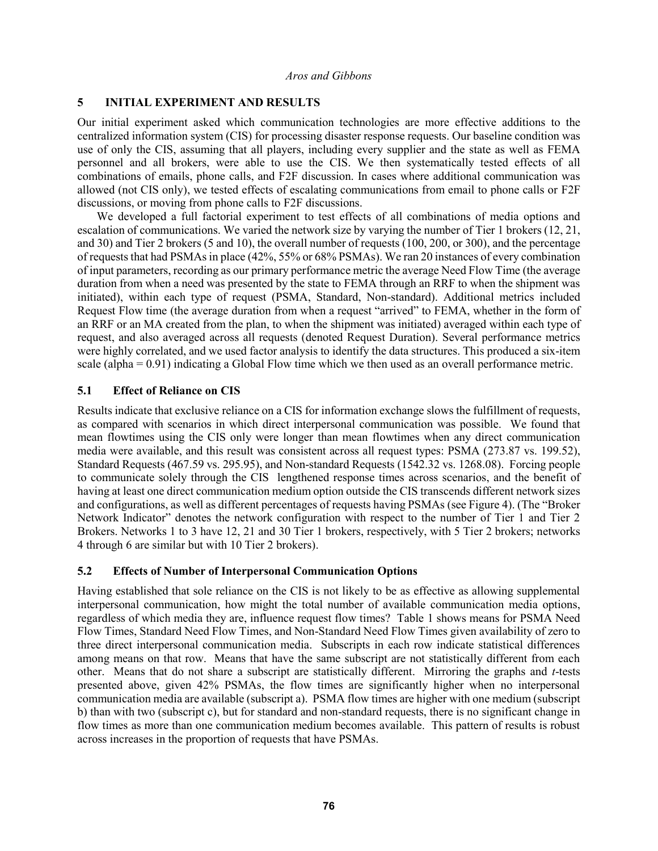## **5 INITIAL EXPERIMENT AND RESULTS**

Our initial experiment asked which communication technologies are more effective additions to the centralized information system (CIS) for processing disaster response requests. Our baseline condition was use of only the CIS, assuming that all players, including every supplier and the state as well as FEMA personnel and all brokers, were able to use the CIS. We then systematically tested effects of all combinations of emails, phone calls, and F2F discussion. In cases where additional communication was allowed (not CIS only), we tested effects of escalating communications from email to phone calls or F2F discussions, or moving from phone calls to F2F discussions.

We developed a full factorial experiment to test effects of all combinations of media options and escalation of communications. We varied the network size by varying the number of Tier 1 brokers (12, 21, and 30) and Tier 2 brokers (5 and 10), the overall number of requests (100, 200, or 300), and the percentage of requests that had PSMAsin place (42%, 55% or 68% PSMAs). We ran 20 instances of every combination of input parameters, recording as our primary performance metric the average Need Flow Time (the average duration from when a need was presented by the state to FEMA through an RRF to when the shipment was initiated), within each type of request (PSMA, Standard, Non-standard). Additional metrics included Request Flow time (the average duration from when a request "arrived" to FEMA, whether in the form of an RRF or an MA created from the plan, to when the shipment was initiated) averaged within each type of request, and also averaged across all requests (denoted Request Duration). Several performance metrics were highly correlated, and we used factor analysis to identify the data structures. This produced a six-item scale (alpha = 0.91) indicating a Global Flow time which we then used as an overall performance metric.

## **5.1 Effect of Reliance on CIS**

Results indicate that exclusive reliance on a CIS for information exchange slows the fulfillment of requests, as compared with scenarios in which direct interpersonal communication was possible. We found that mean flowtimes using the CIS only were longer than mean flowtimes when any direct communication media were available, and this result was consistent across all request types: PSMA (273.87 vs. 199.52), Standard Requests (467.59 vs. 295.95), and Non-standard Requests (1542.32 vs. 1268.08). Forcing people to communicate solely through the CIS lengthened response times across scenarios, and the benefit of having at least one direct communication medium option outside the CIS transcends different network sizes and configurations, as well as different percentages of requests having PSMAs (see Figure 4). (The "Broker Network Indicator" denotes the network configuration with respect to the number of Tier 1 and Tier 2 Brokers. Networks 1 to 3 have 12, 21 and 30 Tier 1 brokers, respectively, with 5 Tier 2 brokers; networks 4 through 6 are similar but with 10 Tier 2 brokers).

## **5.2 Effects of Number of Interpersonal Communication Options**

Having established that sole reliance on the CIS is not likely to be as effective as allowing supplemental interpersonal communication, how might the total number of available communication media options, regardless of which media they are, influence request flow times? Table 1 shows means for PSMA Need Flow Times, Standard Need Flow Times, and Non-Standard Need Flow Times given availability of zero to three direct interpersonal communication media. Subscripts in each row indicate statistical differences among means on that row. Means that have the same subscript are not statistically different from each other. Means that do not share a subscript are statistically different. Mirroring the graphs and *t*-tests presented above, given 42% PSMAs, the flow times are significantly higher when no interpersonal communication media are available (subscript a). PSMA flow times are higher with one medium (subscript b) than with two (subscript c), but for standard and non-standard requests, there is no significant change in flow times as more than one communication medium becomes available. This pattern of results is robust across increases in the proportion of requests that have PSMAs.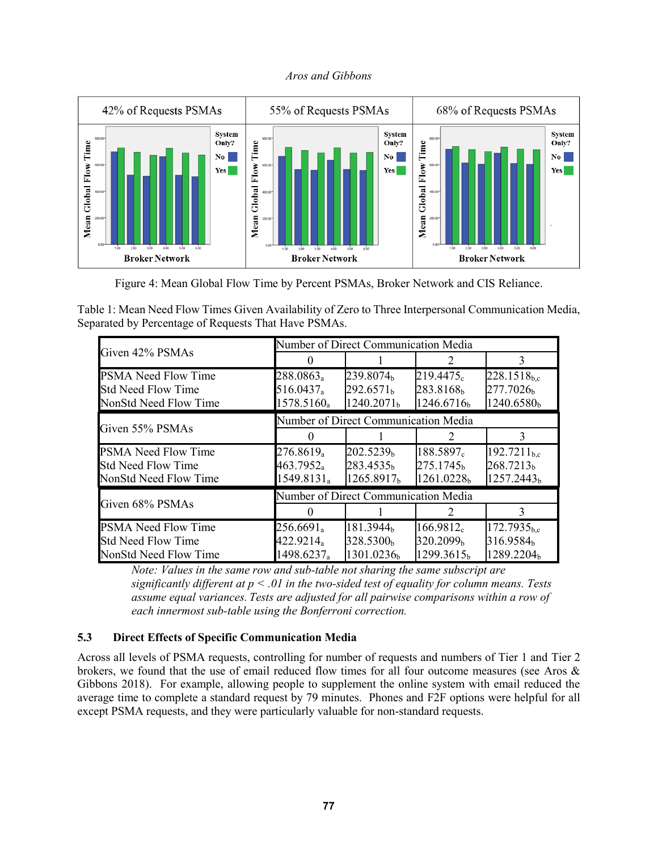

Figure 4: Mean Global Flow Time by Percent PSMAs, Broker Network and CIS Reliance.

Table 1: Mean Need Flow Times Given Availability of Zero to Three Interpersonal Communication Media, Separated by Percentage of Requests That Have PSMAs.

|                                                                           | Number of Direct Communication Media                                     |                                                                          |                                                                          |                                                                        |  |  |  |
|---------------------------------------------------------------------------|--------------------------------------------------------------------------|--------------------------------------------------------------------------|--------------------------------------------------------------------------|------------------------------------------------------------------------|--|--|--|
| Given 42% PSMAs                                                           | $\theta$                                                                 |                                                                          |                                                                          | 3                                                                      |  |  |  |
| PSMA Need Flow Time<br><b>Std Need Flow Time</b><br>NonStd Need Flow Time | 288.0863 <sub>a</sub><br>516.0437 <sub>a</sub><br>1578.5160 <sub>a</sub> | 239.8074 <sub>b</sub><br>292.6571 <sub>h</sub><br>1240.2071 <sub>b</sub> | 219.4475 <sub>c</sub><br>283.8168 <sub>b</sub><br>1246.6716 <sub>b</sub> | $228.1518_{\rm bc}$<br>277.7026 <sub>b</sub><br>1240.6580 <sub>b</sub> |  |  |  |
|                                                                           |                                                                          | Number of Direct Communication Media                                     |                                                                          |                                                                        |  |  |  |
| Given 55% PSMAs                                                           |                                                                          |                                                                          |                                                                          | 3                                                                      |  |  |  |
| PSMA Need Flow Time<br><b>Std Need Flow Time</b><br>NonStd Need Flow Time | $276.8619_a$<br>463.7952 <sub>a</sub><br>$1549.8131_a$                   | 202.5239 <sub>b</sub><br>283.4535 <sub>b</sub><br>1265.8917 <sub>b</sub> | 188.5897 <sub>c</sub><br>275.1745 <sub>b</sub><br>1261.0228 <sub>b</sub> | $192.7211_{bc}$<br>268.7213 <sub>b</sub><br>1257.2443 <sub>b</sub>     |  |  |  |
| Given 68% PSMAs                                                           | 0                                                                        | Number of Direct Communication Media<br>3                                |                                                                          |                                                                        |  |  |  |
| PSMA Need Flow Time<br><b>Std Need Flow Time</b><br>NonStd Need Flow Time | $256.6691_a$<br>422.9214 <sub>a</sub><br>1498.6237 <sub>a</sub>          | 181.3944 <sub>b</sub><br>328.5300 <sub>b</sub><br>1301.0236 <sub>b</sub> | $166.9812_c$<br>320.2099 <sub>b</sub><br>1299.3615 <sub>b</sub>          | $172.7935_{\rm bc}$<br>316.9584 <sub>b</sub><br>1289.2204 <sub>b</sub> |  |  |  |

*Note: Values in the same row and sub-table not sharing the same subscript are significantly different at p < .01 in the two-sided test of equality for column means. Tests assume equal variances. Tests are adjusted for all pairwise comparisons within a row of each innermost sub-table using the Bonferroni correction.*

# **5.3 Direct Effects of Specific Communication Media**

Across all levels of PSMA requests, controlling for number of requests and numbers of Tier 1 and Tier 2 brokers, we found that the use of email reduced flow times for all four outcome measures (see Aros & Gibbons 2018). For example, allowing people to supplement the online system with email reduced the average time to complete a standard request by 79 minutes. Phones and F2F options were helpful for all except PSMA requests, and they were particularly valuable for non-standard requests.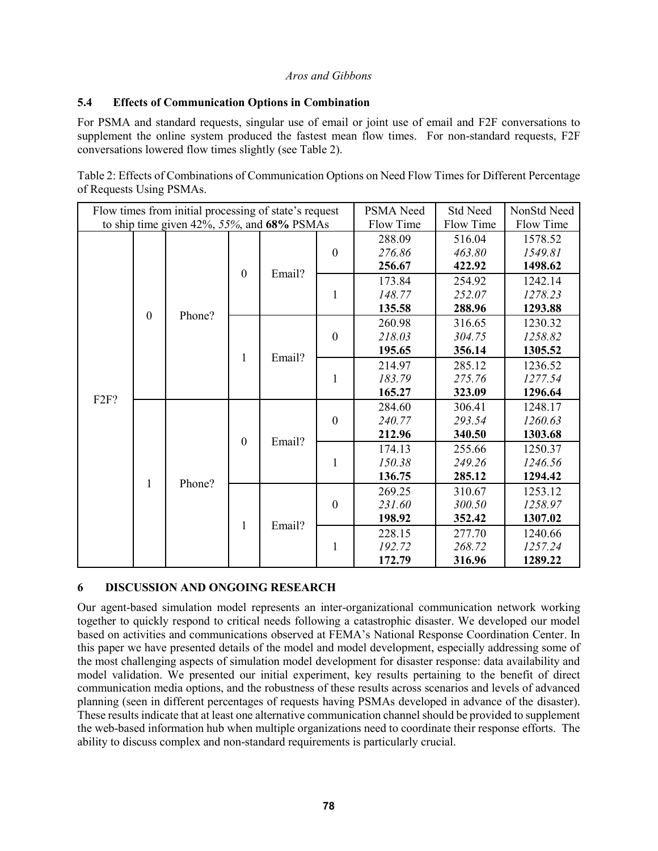## **5.4 Effects of Communication Options in Combination**

For PSMA and standard requests, singular use of email or joint use of email and F2F conversations to supplement the online system produced the fastest mean flow times. For non-standard requests, F2F conversations lowered flow times slightly (see Table 2).

Table 2: Effects of Combinations of Communication Options on Need Flow Times for Different Percentage of Requests Using PSMAs.

| Flow times from initial processing of state's request<br>to ship time given $42\%$ , $55\%$ , and $68\%$ PSMAs |              |        |              |        |                  | <b>PSMA</b> Need<br>Flow Time | <b>Std Need</b><br>Flow Time | NonStd Need<br>Flow Time |
|----------------------------------------------------------------------------------------------------------------|--------------|--------|--------------|--------|------------------|-------------------------------|------------------------------|--------------------------|
| F <sub>2F?</sub>                                                                                               | $\mathbf{0}$ | Phone? | $\mathbf{0}$ | Email? | $\boldsymbol{0}$ | 288.09                        | 516.04                       | 1578.52                  |
|                                                                                                                |              |        |              |        |                  | 276.86<br>256.67              | 463.80<br>422.92             | 1549.81<br>1498.62       |
|                                                                                                                |              |        |              |        | $\mathbf{1}$     | 173.84                        | 254.92                       | 1242.14                  |
|                                                                                                                |              |        |              |        |                  | 148.77<br>135.58              | 252.07<br>288.96             | 1278.23<br>1293.88       |
|                                                                                                                |              |        | 1            | Email? | $\overline{0}$   | 260.98                        | 316.65                       | 1230.32                  |
|                                                                                                                |              |        |              |        |                  | 218.03                        | 304.75                       | 1258.82                  |
|                                                                                                                |              |        |              |        |                  | 195.65                        | 356.14                       | 1305.52                  |
|                                                                                                                |              |        |              |        | $\mathbf{1}$     | 214.97                        | 285.12                       | 1236.52                  |
|                                                                                                                |              |        |              |        |                  | 183.79<br>165.27              | 275.76<br>323.09             | 1277.54<br>1296.64       |
|                                                                                                                | 1            | Phone? | $\mathbf{0}$ | Email? |                  |                               |                              |                          |
|                                                                                                                |              |        |              |        | $\boldsymbol{0}$ | 284.60<br>240.77              | 306.41<br>293.54             | 1248.17<br>1260.63       |
|                                                                                                                |              |        |              |        |                  | 212.96                        | 340.50                       | 1303.68                  |
|                                                                                                                |              |        |              |        | $\mathbf{1}$     | 174.13                        | 255.66                       | 1250.37                  |
|                                                                                                                |              |        |              |        |                  | 150.38                        | 249.26                       | 1246.56                  |
|                                                                                                                |              |        |              |        |                  | 136.75                        | 285.12                       | 1294.42                  |
|                                                                                                                |              |        | 1            | Email? | $\boldsymbol{0}$ | 269.25                        | 310.67                       | 1253.12                  |
|                                                                                                                |              |        |              |        |                  | 231.60                        | 300.50                       | 1258.97                  |
|                                                                                                                |              |        |              |        |                  | 198.92                        | 352.42                       | 1307.02                  |
|                                                                                                                |              |        |              |        | $\mathbf{1}$     | 228.15                        | 277.70                       | 1240.66                  |
|                                                                                                                |              |        |              |        |                  | 192.72                        | 268.72                       | 1257.24                  |
|                                                                                                                |              |        |              |        |                  | 172.79                        | 316.96                       | 1289.22                  |

## **6 DISCUSSION AND ONGOING RESEARCH**

Our agent-based simulation model represents an inter-organizational communication network working together to quickly respond to critical needs following a catastrophic disaster. We developed our model based on activities and communications observed at FEMA's National Response Coordination Center. In this paper we have presented details of the model and model development, especially addressing some of the most challenging aspects of simulation model development for disaster response: data availability and model validation. We presented our initial experiment, key results pertaining to the benefit of direct communication media options, and the robustness of these results across scenarios and levels of advanced planning (seen in different percentages of requests having PSMAs developed in advance of the disaster). These results indicate that at least one alternative communication channel should be provided to supplement the web-based information hub when multiple organizations need to coordinate their response efforts. The ability to discuss complex and non-standard requirements is particularly crucial.